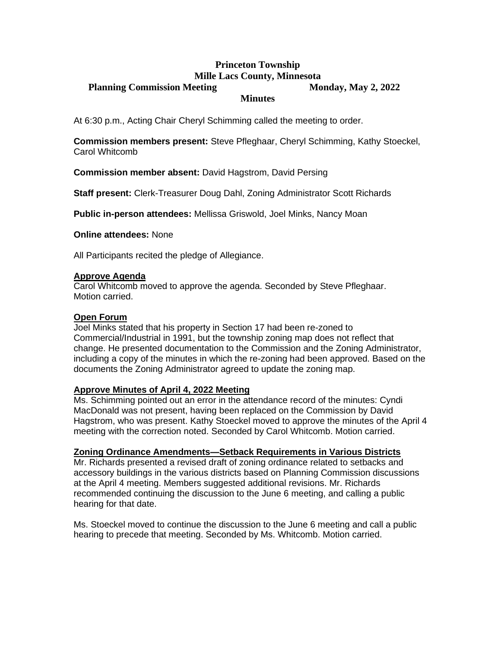# **Princeton Township Mille Lacs County, Minnesota Planning Commission Meeting 2022 Monday, May 2, 2022 Minutes**

At 6:30 p.m., Acting Chair Cheryl Schimming called the meeting to order.

**Commission members present:** Steve Pfleghaar, Cheryl Schimming, Kathy Stoeckel, Carol Whitcomb

**Commission member absent:** David Hagstrom, David Persing

**Staff present:** Clerk-Treasurer Doug Dahl, Zoning Administrator Scott Richards

**Public in-person attendees:** Mellissa Griswold, Joel Minks, Nancy Moan

**Online attendees:** None

All Participants recited the pledge of Allegiance.

#### **Approve Agenda**

Carol Whitcomb moved to approve the agenda. Seconded by Steve Pfleghaar. Motion carried.

### **Open Forum**

Joel Minks stated that his property in Section 17 had been re-zoned to Commercial/Industrial in 1991, but the township zoning map does not reflect that change. He presented documentation to the Commission and the Zoning Administrator, including a copy of the minutes in which the re-zoning had been approved. Based on the documents the Zoning Administrator agreed to update the zoning map.

## **Approve Minutes of April 4, 2022 Meeting**

Ms. Schimming pointed out an error in the attendance record of the minutes: Cyndi MacDonald was not present, having been replaced on the Commission by David Hagstrom, who was present. Kathy Stoeckel moved to approve the minutes of the April 4 meeting with the correction noted. Seconded by Carol Whitcomb. Motion carried.

#### **Zoning Ordinance Amendments—Setback Requirements in Various Districts**

Mr. Richards presented a revised draft of zoning ordinance related to setbacks and accessory buildings in the various districts based on Planning Commission discussions at the April 4 meeting. Members suggested additional revisions. Mr. Richards recommended continuing the discussion to the June 6 meeting, and calling a public hearing for that date.

Ms. Stoeckel moved to continue the discussion to the June 6 meeting and call a public hearing to precede that meeting. Seconded by Ms. Whitcomb. Motion carried.